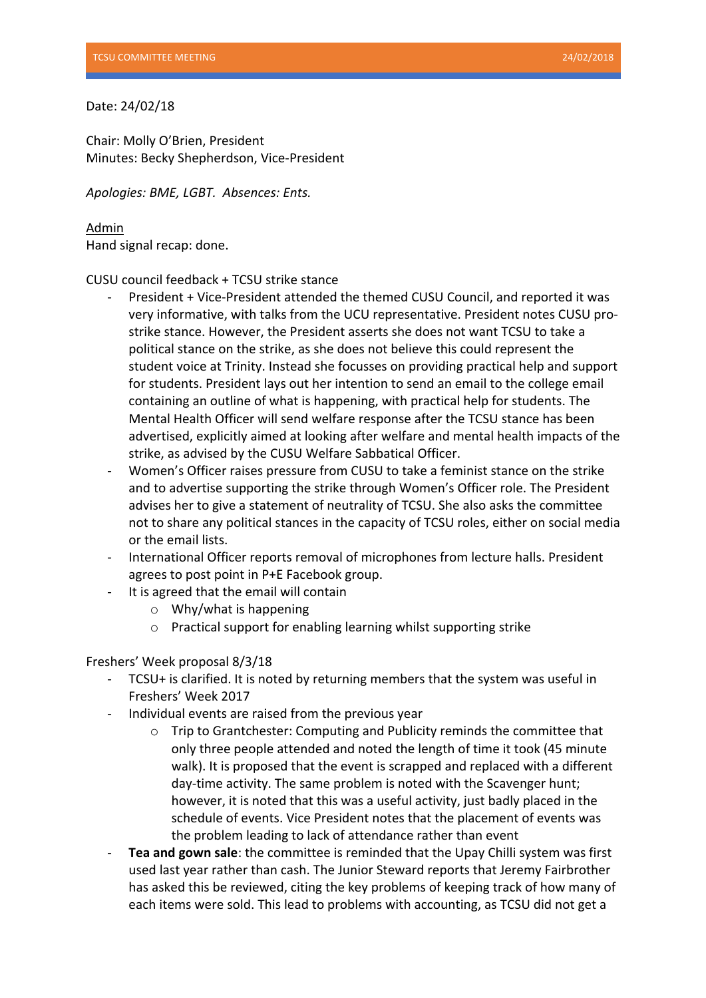## Date: 24/02/18

Chair: Molly O'Brien, President Minutes: Becky Shepherdson, Vice-President

*Apologies: BME, LGBT. Absences: Ents.*

Admin Hand signal recap: done.

CUSU council feedback + TCSU strike stance

- President + Vice-President attended the themed CUSU Council, and reported it was very informative, with talks from the UCU representative. President notes CUSU prostrike stance. However, the President asserts she does not want TCSU to take a political stance on the strike, as she does not believe this could represent the student voice at Trinity. Instead she focusses on providing practical help and support for students. President lays out her intention to send an email to the college email containing an outline of what is happening, with practical help for students. The Mental Health Officer will send welfare response after the TCSU stance has been advertised, explicitly aimed at looking after welfare and mental health impacts of the strike, as advised by the CUSU Welfare Sabbatical Officer.
- Women's Officer raises pressure from CUSU to take a feminist stance on the strike and to advertise supporting the strike through Women's Officer role. The President advises her to give a statement of neutrality of TCSU. She also asks the committee not to share any political stances in the capacity of TCSU roles, either on social media or the email lists.
- International Officer reports removal of microphones from lecture halls. President agrees to post point in P+E Facebook group.
- It is agreed that the email will contain
	- $\circ$  Why/what is happening
	- $\circ$  Practical support for enabling learning whilst supporting strike

## Freshers' Week proposal 8/3/18

- TCSU+ is clarified. It is noted by returning members that the system was useful in Freshers' Week 2017
- Individual events are raised from the previous year
	- $\circ$  Trip to Grantchester: Computing and Publicity reminds the committee that only three people attended and noted the length of time it took (45 minute walk). It is proposed that the event is scrapped and replaced with a different day-time activity. The same problem is noted with the Scavenger hunt; however, it is noted that this was a useful activity, just badly placed in the schedule of events. Vice President notes that the placement of events was the problem leading to lack of attendance rather than event
- **Tea and gown sale**: the committee is reminded that the Upay Chilli system was first used last year rather than cash. The Junior Steward reports that Jeremy Fairbrother has asked this be reviewed, citing the key problems of keeping track of how many of each items were sold. This lead to problems with accounting, as TCSU did not get a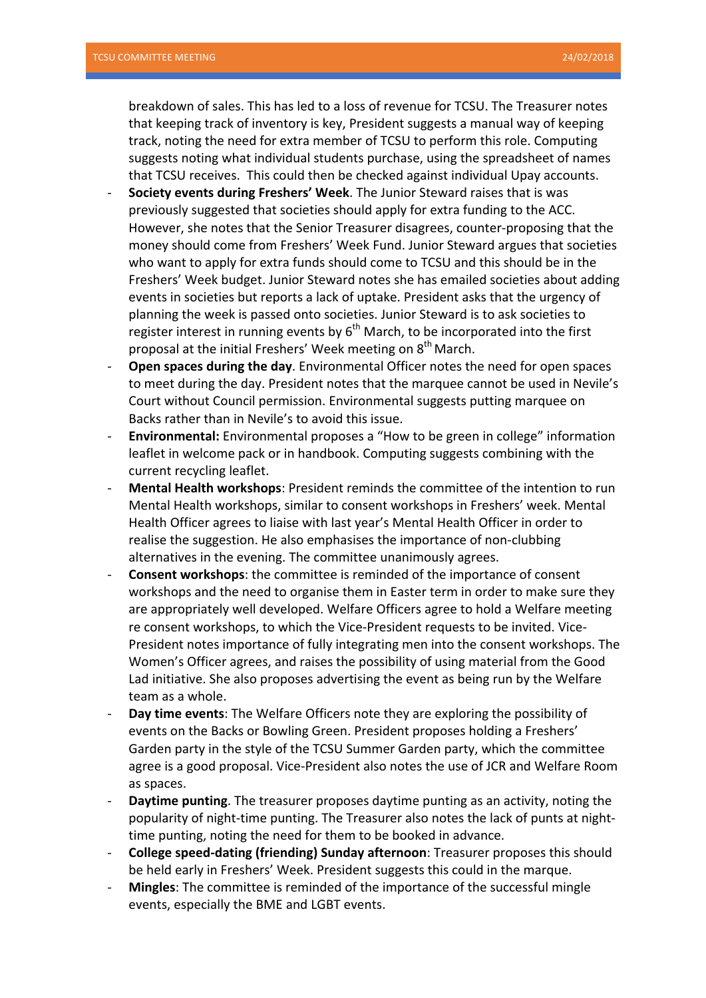breakdown of sales. This has led to a loss of revenue for TCSU. The Treasurer notes that keeping track of inventory is key, President suggests a manual way of keeping track, noting the need for extra member of TCSU to perform this role. Computing suggests noting what individual students purchase, using the spreadsheet of names that TCSU receives. This could then be checked against individual Upay accounts.

- **Society events during Freshers' Week**. The Junior Steward raises that is was previously suggested that societies should apply for extra funding to the ACC. However, she notes that the Senior Treasurer disagrees, counter-proposing that the money should come from Freshers' Week Fund. Junior Steward argues that societies who want to apply for extra funds should come to TCSU and this should be in the Freshers' Week budget. Junior Steward notes she has emailed societies about adding events in societies but reports a lack of uptake. President asks that the urgency of planning the week is passed onto societies. Junior Steward is to ask societies to register interest in running events by  $6<sup>th</sup>$  March, to be incorporated into the first proposal at the initial Freshers' Week meeting on 8<sup>th</sup> March.
- Open spaces during the day. Environmental Officer notes the need for open spaces to meet during the day. President notes that the marquee cannot be used in Nevile's Court without Council permission. Environmental suggests putting marquee on Backs rather than in Nevile's to avoid this issue.
- **Environmental:** Environmental proposes a "How to be green in college" information leaflet in welcome pack or in handbook. Computing suggests combining with the current recycling leaflet.
- **Mental Health workshops**: President reminds the committee of the intention to run Mental Health workshops, similar to consent workshops in Freshers' week. Mental Health Officer agrees to liaise with last year's Mental Health Officer in order to realise the suggestion. He also emphasises the importance of non-clubbing alternatives in the evening. The committee unanimously agrees.
- **Consent workshops:** the committee is reminded of the importance of consent workshops and the need to organise them in Easter term in order to make sure they are appropriately well developed. Welfare Officers agree to hold a Welfare meeting re consent workshops, to which the Vice-President requests to be invited. Vice-President notes importance of fully integrating men into the consent workshops. The Women's Officer agrees, and raises the possibility of using material from the Good Lad initiative. She also proposes advertising the event as being run by the Welfare team as a whole.
- **Day time events:** The Welfare Officers note they are exploring the possibility of events on the Backs or Bowling Green. President proposes holding a Freshers' Garden party in the style of the TCSU Summer Garden party, which the committee agree is a good proposal. Vice-President also notes the use of JCR and Welfare Room as spaces.
- **Daytime punting**. The treasurer proposes daytime punting as an activity, noting the popularity of night-time punting. The Treasurer also notes the lack of punts at nighttime punting, noting the need for them to be booked in advance.
- **College speed-dating (friending) Sunday afternoon:** Treasurer proposes this should be held early in Freshers' Week. President suggests this could in the marque.
- **Mingles**: The committee is reminded of the importance of the successful mingle events, especially the BME and LGBT events.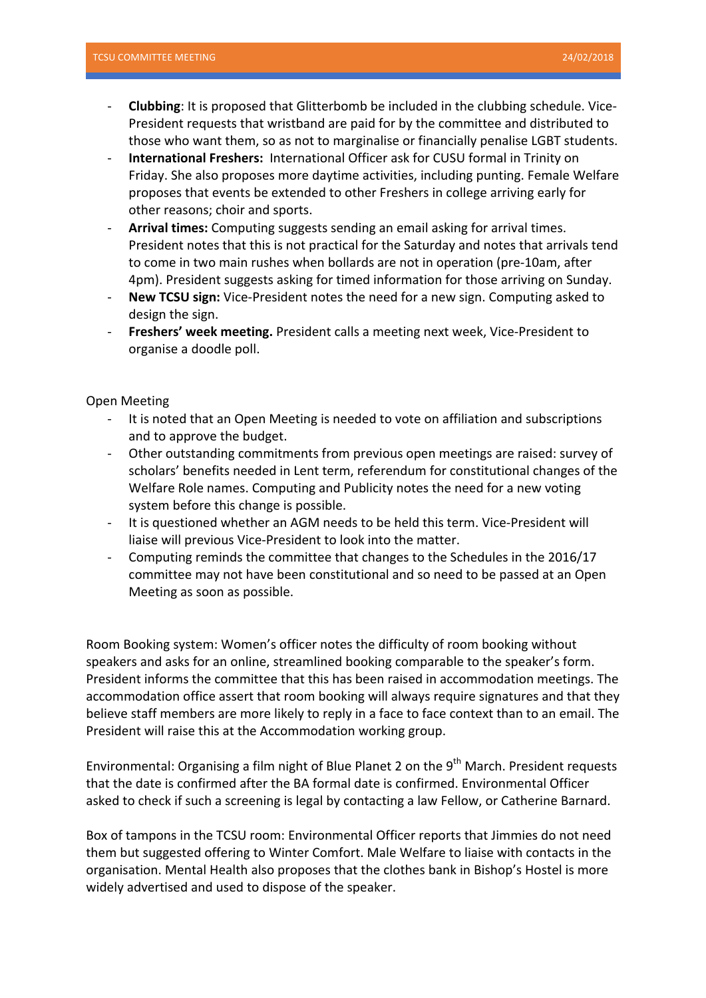- **Clubbing**: It is proposed that Glitterbomb be included in the clubbing schedule. Vice-President requests that wristband are paid for by the committee and distributed to those who want them, so as not to marginalise or financially penalise LGBT students.
- **International Freshers:** International Officer ask for CUSU formal in Trinity on Friday. She also proposes more daytime activities, including punting. Female Welfare proposes that events be extended to other Freshers in college arriving early for other reasons; choir and sports.
- Arrival times: Computing suggests sending an email asking for arrival times. President notes that this is not practical for the Saturday and notes that arrivals tend to come in two main rushes when bollards are not in operation (pre-10am, after 4pm). President suggests asking for timed information for those arriving on Sunday.
- **New TCSU sign:** Vice-President notes the need for a new sign. Computing asked to design the sign.
- **Freshers' week meeting.** President calls a meeting next week, Vice-President to organise a doodle poll.

Open Meeting 

- It is noted that an Open Meeting is needed to vote on affiliation and subscriptions and to approve the budget.
- Other outstanding commitments from previous open meetings are raised: survey of scholars' benefits needed in Lent term, referendum for constitutional changes of the Welfare Role names. Computing and Publicity notes the need for a new voting system before this change is possible.
- It is questioned whether an AGM needs to be held this term. Vice-President will liaise will previous Vice-President to look into the matter.
- Computing reminds the committee that changes to the Schedules in the 2016/17 committee may not have been constitutional and so need to be passed at an Open Meeting as soon as possible.

Room Booking system: Women's officer notes the difficulty of room booking without speakers and asks for an online, streamlined booking comparable to the speaker's form. President informs the committee that this has been raised in accommodation meetings. The accommodation office assert that room booking will always require signatures and that they believe staff members are more likely to reply in a face to face context than to an email. The President will raise this at the Accommodation working group.

Environmental: Organising a film night of Blue Planet 2 on the  $9<sup>th</sup>$  March. President requests that the date is confirmed after the BA formal date is confirmed. Environmental Officer asked to check if such a screening is legal by contacting a law Fellow, or Catherine Barnard.

Box of tampons in the TCSU room: Environmental Officer reports that Jimmies do not need them but suggested offering to Winter Comfort. Male Welfare to liaise with contacts in the organisation. Mental Health also proposes that the clothes bank in Bishop's Hostel is more widely advertised and used to dispose of the speaker.